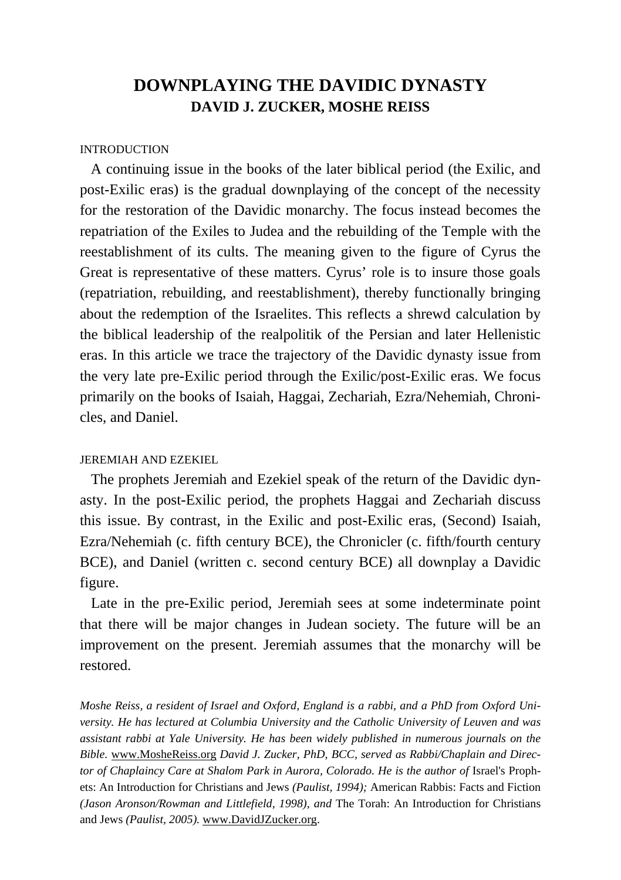# **DOWNPLAYING THE DAVIDIC DYNASTY DAVID J. ZUCKER, MOSHE REISS**

## INTRODUCTION

 A continuing issue in the books of the later biblical period (the Exilic, and post-Exilic eras) is the gradual downplaying of the concept of the necessity for the restoration of the Davidic monarchy. The focus instead becomes the repatriation of the Exiles to Judea and the rebuilding of the Temple with the reestablishment of its cults. The meaning given to the figure of Cyrus the Great is representative of these matters. Cyrus' role is to insure those goals (repatriation, rebuilding, and reestablishment), thereby functionally bringing about the redemption of the Israelites. This reflects a shrewd calculation by the biblical leadership of the realpolitik of the Persian and later Hellenistic eras. In this article we trace the trajectory of the Davidic dynasty issue from the very late pre-Exilic period through the Exilic/post-Exilic eras. We focus primarily on the books of Isaiah, Haggai, Zechariah, Ezra/Nehemiah, Chronicles, and Daniel.

## JEREMIAH AND EZEKIEL

 The prophets Jeremiah and Ezekiel speak of the return of the Davidic dynasty. In the post-Exilic period, the prophets Haggai and Zechariah discuss this issue. By contrast, in the Exilic and post-Exilic eras, (Second) Isaiah, Ezra/Nehemiah (c. fifth century BCE), the Chronicler (c. fifth/fourth century BCE), and Daniel (written c. second century BCE) all downplay a Davidic figure.

 Late in the pre-Exilic period, Jeremiah sees at some indeterminate point that there will be major changes in Judean society. The future will be an improvement on the present. Jeremiah assumes that the monarchy will be restored.

*Moshe Reiss, a resident of Israel and Oxford, England is a rabbi, and a PhD from Oxford University. He has lectured at Columbia University and the Catholic University of Leuven and was assistant rabbi at Yale University. He has been widely published in numerous journals on the Bible.* [www.MosheReiss.org](http://www.moshereiss.org/) *David J. Zucker, PhD, BCC, served as Rabbi/Chaplain and Director of Chaplaincy Care at Shalom Park in Aurora, Colorado. He is the author of Israel's Proph*ets: An Introduction for Christians and Jews *(Paulist, 1994);* American Rabbis: Facts and Fiction *(Jason Aronson/Rowman and Littlefield, 1998), and* The Torah: An Introduction for Christians and Jews *(Paulist, 2005).* [www.DavidJZucker.org.](http://www.davidjzucker.org/)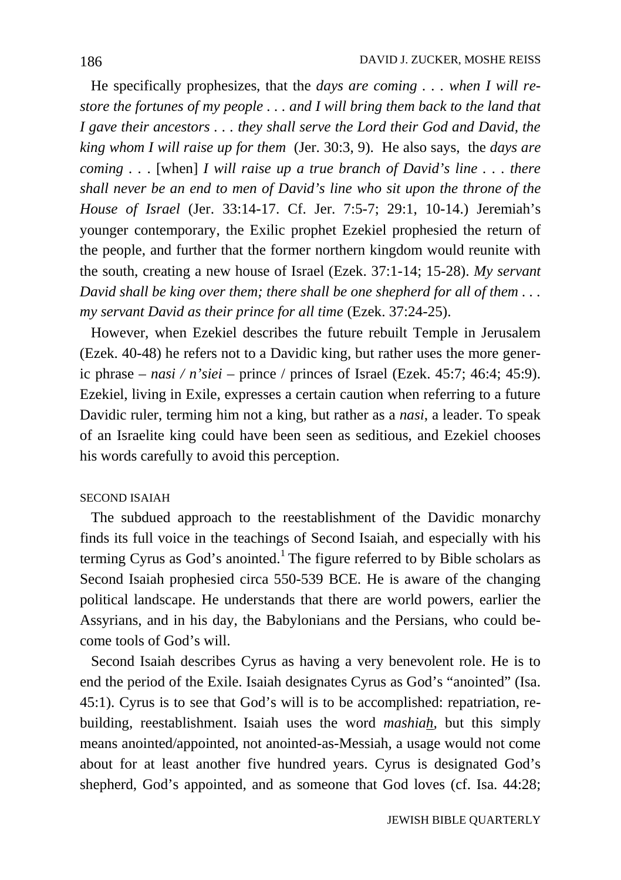He specifically prophesizes, that the *days are coming . . . when I will restore the fortunes of my people . . . and I will bring them back to the land that I gave their ancestors . . . they shall serve the Lord their God and David, the king whom I will raise up for them* (Jer. 30:3, 9). He also says, the *days are coming . .* . [when] *I will raise up a true branch of David's line . . . there shall never be an end to men of David's line who sit upon the throne of the House of Israel* (Jer. 33:14-17. Cf. Jer. 7:5-7; 29:1, 10-14.) Jeremiah's younger contemporary, the Exilic prophet Ezekiel prophesied the return of the people, and further that the former northern kingdom would reunite with the south, creating a new house of Israel (Ezek. 37:1-14; 15-28). *My servant David shall be king over them; there shall be one shepherd for all of them . . . my servant David as their prince for all time* (Ezek. 37:24-25).

 However, when Ezekiel describes the future rebuilt Temple in Jerusalem (Ezek. 40-48) he refers not to a Davidic king, but rather uses the more generic phrase – *nasi / n'siei* – prince / princes of Israel (Ezek. 45:7; 46:4; 45:9). Ezekiel, living in Exile, expresses a certain caution when referring to a future Davidic ruler, terming him not a king, but rather as a *nasi*, a leader. To speak of an Israelite king could have been seen as seditious, and Ezekiel chooses his words carefully to avoid this perception.

## SECOND ISAIAH

 The subdued approach to the reestablishment of the Davidic monarchy finds its full voice in the teachings of Second Isaiah, and especially with his terming Cyrus as God's anointed.<sup>1</sup> The figure referred to by Bible scholars as Second Isaiah prophesied circa 550-539 BCE. He is aware of the changing political landscape. He understands that there are world powers, earlier the Assyrians, and in his day, the Babylonians and the Persians, who could become tools of God's will.

 Second Isaiah describes Cyrus as having a very benevolent role. He is to end the period of the Exile. Isaiah designates Cyrus as God's "anointed" (Isa. 45:1). Cyrus is to see that God's will is to be accomplished: repatriation, rebuilding, reestablishment. Isaiah uses the word *mashiah,* but this simply means anointed/appointed, not anointed-as-Messiah, a usage would not come about for at least another five hundred years. Cyrus is designated God's shepherd, God's appointed, and as someone that God loves (cf. Isa. 44:28;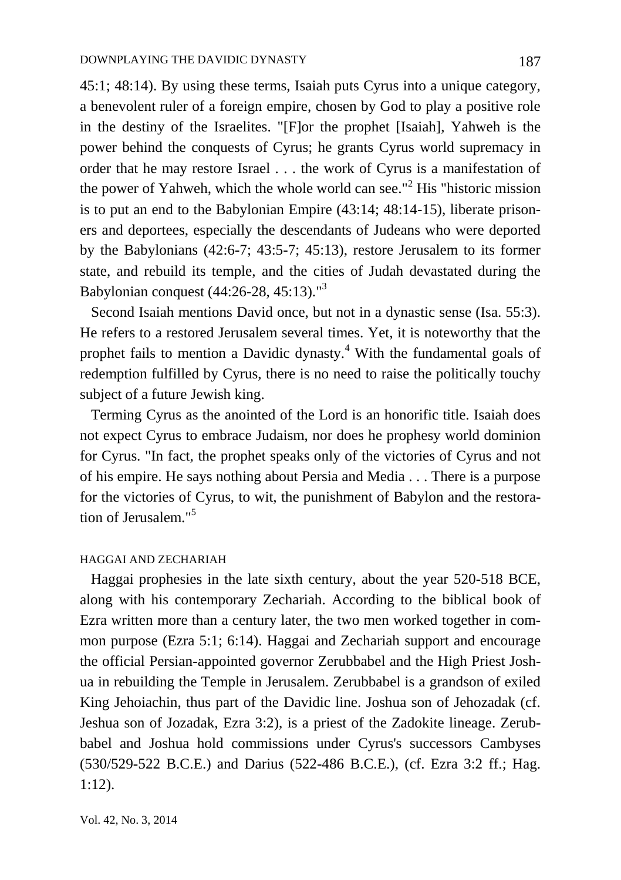45:1; 48:14). By using these terms, Isaiah puts Cyrus into a unique category, a benevolent ruler of a foreign empire, chosen by God to play a positive role in the destiny of the Israelites. "[F]or the prophet [Isaiah], Yahweh is the power behind the conquests of Cyrus; he grants Cyrus world supremacy in order that he may restore Israel . . . the work of Cyrus is a manifestation of the power of Yahweh, which the whole world can see."<sup>2</sup> His "historic mission is to put an end to the Babylonian Empire (43:14; 48:14-15), liberate prisoners and deportees, especially the descendants of Judeans who were deported by the Babylonians (42:6-7; 43:5-7; 45:13), restore Jerusalem to its former state, and rebuild its temple, and the cities of Judah devastated during the Babylonian conquest (44:26-28, 45:13)." 3

 Second Isaiah mentions David once, but not in a dynastic sense (Isa. 55:3). He refers to a restored Jerusalem several times. Yet, it is noteworthy that the prophet fails to mention a Davidic dynasty.<sup>4</sup> With the fundamental goals of redemption fulfilled by Cyrus, there is no need to raise the politically touchy subject of a future Jewish king.

 Terming Cyrus as the anointed of the Lord is an honorific title. Isaiah does not expect Cyrus to embrace Judaism, nor does he prophesy world dominion for Cyrus. "In fact, the prophet speaks only of the victories of Cyrus and not of his empire. He says nothing about Persia and Media . . . There is a purpose for the victories of Cyrus, to wit, the punishment of Babylon and the restoration of Jerusalem."<sup>5</sup>

#### HAGGAI AND ZECHARIAH

 Haggai prophesies in the late sixth century, about the year 520-518 BCE, along with his contemporary Zechariah. According to the biblical book of Ezra written more than a century later, the two men worked together in common purpose (Ezra 5:1; 6:14). Haggai and Zechariah support and encourage the official Persian-appointed governor Zerubbabel and the High Priest Joshua in rebuilding the Temple in Jerusalem. Zerubbabel is a grandson of exiled King Jehoiachin, thus part of the Davidic line. Joshua son of Jehozadak (cf. Jeshua son of Jozadak, Ezra 3:2), is a priest of the Zadokite lineage. Zerubbabel and Joshua hold commissions under Cyrus's successors Cambyses (530/529-522 B.C.E.) and Darius (522-486 B.C.E.), (cf. Ezra 3:2 ff.; Hag. 1:12).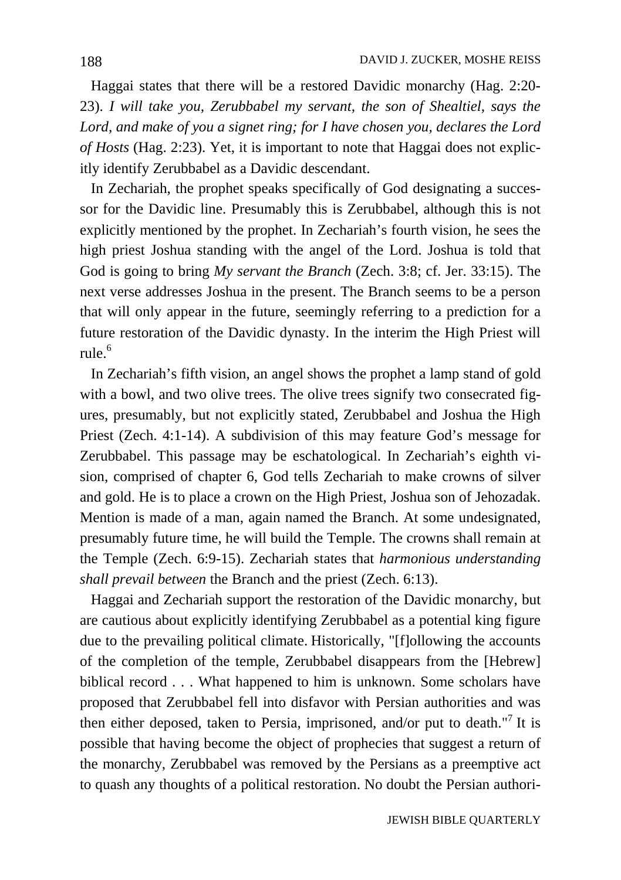Haggai states that there will be a restored Davidic monarchy (Hag. 2:20- 23). *I will take you, Zerubbabel my servant, the son of Shealtiel, says the Lord, and make of you a signet ring; for I have chosen you, declares the Lord of Hosts* (Hag. 2:23). Yet, it is important to note that Haggai does not explicitly identify Zerubbabel as a Davidic descendant.

 In Zechariah, the prophet speaks specifically of God designating a successor for the Davidic line. Presumably this is Zerubbabel, although this is not explicitly mentioned by the prophet. In Zechariah's fourth vision, he sees the high priest Joshua standing with the angel of the Lord. Joshua is told that God is going to bring *My servant the Branch* (Zech. 3:8; cf. Jer. 33:15). The next verse addresses Joshua in the present. The Branch seems to be a person that will only appear in the future, seemingly referring to a prediction for a future restoration of the Davidic dynasty. In the interim the High Priest will rule.<sup>6</sup>

 In Zechariah's fifth vision, an angel shows the prophet a lamp stand of gold with a bowl, and two olive trees. The olive trees signify two consecrated figures, presumably, but not explicitly stated, Zerubbabel and Joshua the High Priest (Zech. 4:1-14). A subdivision of this may feature God's message for Zerubbabel. This passage may be eschatological. In Zechariah's eighth vision, comprised of chapter 6, God tells Zechariah to make crowns of silver and gold. He is to place a crown on the High Priest, Joshua son of Jehozadak. Mention is made of a man, again named the Branch. At some undesignated, presumably future time, he will build the Temple. The crowns shall remain at the Temple (Zech. 6:9-15). Zechariah states that *harmonious understanding shall prevail between* the Branch and the priest (Zech. 6:13).

 Haggai and Zechariah support the restoration of the Davidic monarchy, but are cautious about explicitly identifying Zerubbabel as a potential king figure due to the prevailing political climate. Historically, "[f]ollowing the accounts of the completion of the temple, Zerubbabel disappears from the [Hebrew] biblical record . . . What happened to him is unknown. Some scholars have proposed that Zerubbabel fell into disfavor with Persian authorities and was then either deposed, taken to Persia, imprisoned, and/or put to death."<sup>7</sup> It is possible that having become the object of prophecies that suggest a return of the monarchy, Zerubbabel was removed by the Persians as a preemptive act to quash any thoughts of a political restoration. No doubt the Persian authori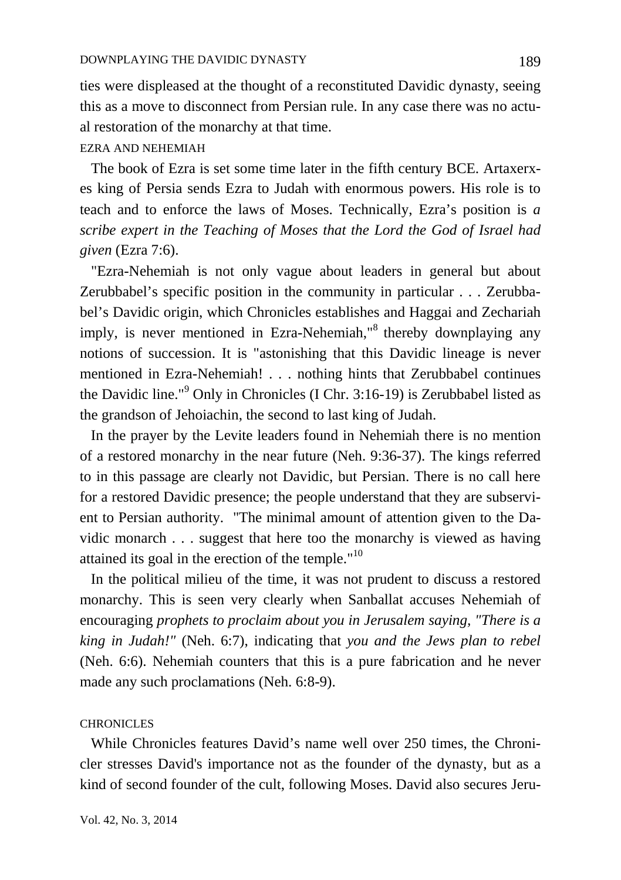ties were displeased at the thought of a reconstituted Davidic dynasty, seeing this as a move to disconnect from Persian rule. In any case there was no actual restoration of the monarchy at that time.

## EZRA AND NEHEMIAH

 The book of Ezra is set some time later in the fifth century BCE. Artaxerxes king of Persia sends Ezra to Judah with enormous powers. His role is to teach and to enforce the laws of Moses. Technically, Ezra's position is *a scribe expert in the Teaching of Moses that the Lord the God of Israel had given* (Ezra 7:6).

 "Ezra-Nehemiah is not only vague about leaders in general but about Zerubbabel's specific position in the community in particular . . . Zerubbabel's Davidic origin, which Chronicles establishes and Haggai and Zechariah imply, is never mentioned in Ezra-Nehemiah,<sup>18</sup> thereby downplaying any notions of succession. It is "astonishing that this Davidic lineage is never mentioned in Ezra-Nehemiah! . . . nothing hints that Zerubbabel continues the Davidic line."<sup>9</sup> Only in Chronicles (I Chr. 3:16-19) is Zerubbabel listed as the grandson of Jehoiachin, the second to last king of Judah.

 In the prayer by the Levite leaders found in Nehemiah there is no mention of a restored monarchy in the near future (Neh. 9:36-37). The kings referred to in this passage are clearly not Davidic, but Persian. There is no call here for a restored Davidic presence; the people understand that they are subservient to Persian authority. "The minimal amount of attention given to the Davidic monarch . . . suggest that here too the monarchy is viewed as having attained its goal in the erection of the temple."<sup>10</sup>

 In the political milieu of the time, it was not prudent to discuss a restored monarchy. This is seen very clearly when Sanballat accuses Nehemiah of encouraging *prophets to proclaim about you in Jerusalem saying, "There is a king in Judah!"* (Neh. 6:7), indicating that *you and the Jews plan to rebel*  (Neh. 6:6). Nehemiah counters that this is a pure fabrication and he never made any such proclamations (Neh. 6:8-9).

#### **CHRONICLES**

 While Chronicles features David's name well over 250 times, the Chronicler stresses David's importance not as the founder of the dynasty, but as a kind of second founder of the cult, following Moses. David also secures Jeru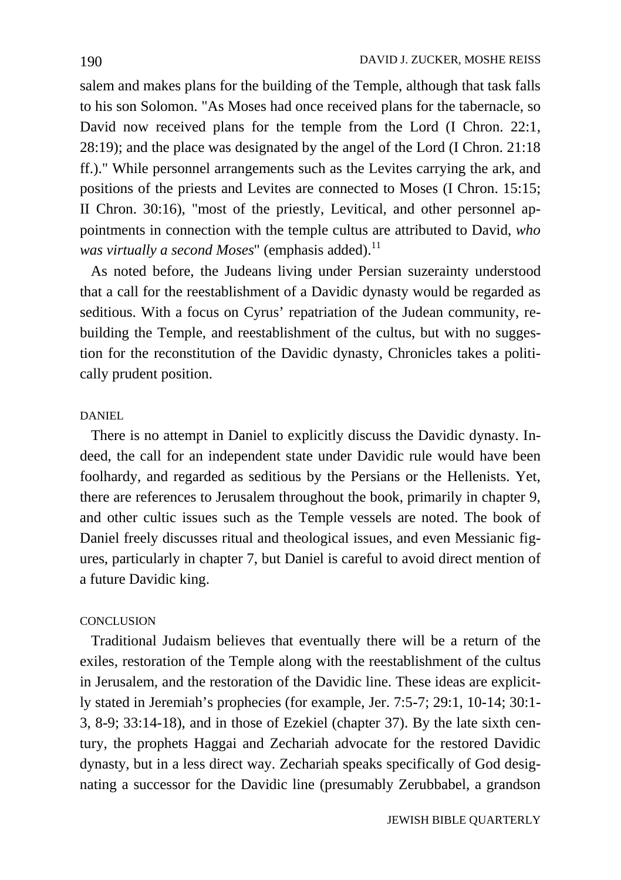salem and makes plans for the building of the Temple, although that task falls to his son Solomon. "As Moses had once received plans for the tabernacle, so David now received plans for the temple from the Lord (I Chron. 22:1, 28:19); and the place was designated by the angel of the Lord (I Chron. 21:18 ff.)." While personnel arrangements such as the Levites carrying the ark, and positions of the priests and Levites are connected to Moses (I Chron. 15:15; II Chron. 30:16), "most of the priestly, Levitical, and other personnel appointments in connection with the temple cultus are attributed to David, *who was virtually a second Moses*" (emphasis added).<sup>11</sup>

 As noted before, the Judeans living under Persian suzerainty understood that a call for the reestablishment of a Davidic dynasty would be regarded as seditious. With a focus on Cyrus' repatriation of the Judean community, rebuilding the Temple, and reestablishment of the cultus, but with no suggestion for the reconstitution of the Davidic dynasty, Chronicles takes a politically prudent position.

### DANIEL

 There is no attempt in Daniel to explicitly discuss the Davidic dynasty. Indeed, the call for an independent state under Davidic rule would have been foolhardy, and regarded as seditious by the Persians or the Hellenists. Yet, there are references to Jerusalem throughout the book, primarily in chapter 9, and other cultic issues such as the Temple vessels are noted. The book of Daniel freely discusses ritual and theological issues, and even Messianic figures, particularly in chapter 7, but Daniel is careful to avoid direct mention of a future Davidic king.

# **CONCLUSION**

 Traditional Judaism believes that eventually there will be a return of the exiles, restoration of the Temple along with the reestablishment of the cultus in Jerusalem, and the restoration of the Davidic line. These ideas are explicitly stated in Jeremiah's prophecies (for example, Jer. 7:5-7; 29:1, 10-14; 30:1- 3, 8-9; 33:14-18), and in those of Ezekiel (chapter 37). By the late sixth century, the prophets Haggai and Zechariah advocate for the restored Davidic dynasty, but in a less direct way. Zechariah speaks specifically of God designating a successor for the Davidic line (presumably Zerubbabel, a grandson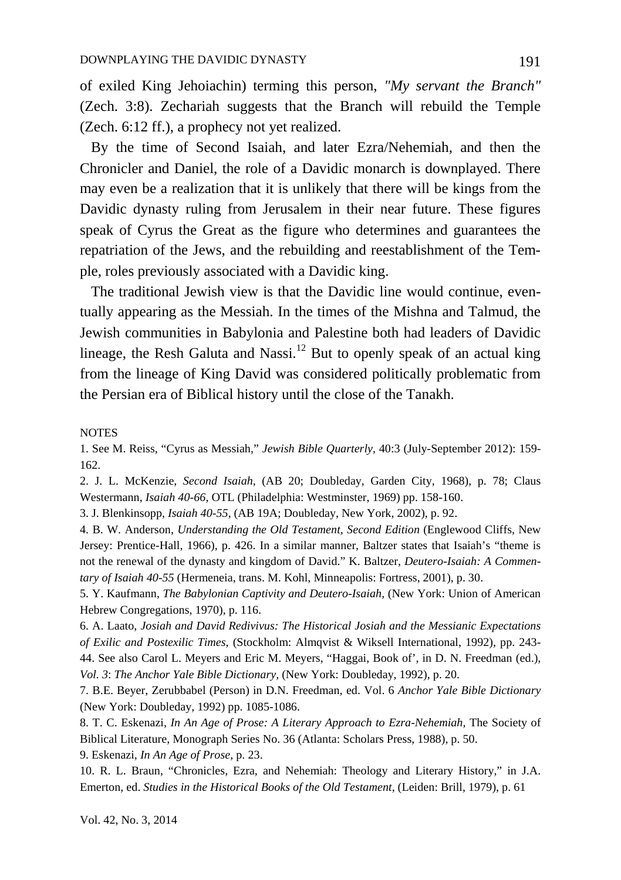of exiled King Jehoiachin) terming this person, *"My servant the Branch"*  (Zech. 3:8). Zechariah suggests that the Branch will rebuild the Temple (Zech. 6:12 ff.), a prophecy not yet realized.

 By the time of Second Isaiah, and later Ezra/Nehemiah, and then the Chronicler and Daniel, the role of a Davidic monarch is downplayed. There may even be a realization that it is unlikely that there will be kings from the Davidic dynasty ruling from Jerusalem in their near future. These figures speak of Cyrus the Great as the figure who determines and guarantees the repatriation of the Jews, and the rebuilding and reestablishment of the Temple, roles previously associated with a Davidic king.

 The traditional Jewish view is that the Davidic line would continue, eventually appearing as the Messiah. In the times of the Mishna and Talmud, the Jewish communities in Babylonia and Palestine both had leaders of Davidic lineage, the Resh Galuta and Nassi.<sup>12</sup> But to openly speak of an actual king from the lineage of King David was considered politically problematic from the Persian era of Biblical history until the close of the Tanakh.

#### **NOTES**

1. See M. Reiss, "Cyrus as Messiah," *Jewish Bible Quarterly*, 40:3 (July-September 2012): 159- 162.

2. J. L. McKenzie, *Second Isaiah*, (AB 20; Doubleday, Garden City, 1968), p. 78; Claus Westermann, *Isaiah 40-66*, OTL (Philadelphia: Westminster, 1969) pp. 158-160.

3. J. Blenkinsopp, *Isaiah 40-55*, (AB 19A; Doubleday, New York, 2002), p. 92.

4. B. W. Anderson, *Understanding the Old Testament, Second Edition* (Englewood Cliffs, New Jersey: Prentice-Hall, 1966), p. 426. In a similar manner, Baltzer states that Isaiah's "theme is not the renewal of the dynasty and kingdom of David." K. Baltzer, *Deutero-Isaiah: A Commentary of Isaiah 40-55* (Hermeneia, trans. M. Kohl, Minneapolis: Fortress, 2001), p. 30.

5. Y. Kaufmann, *The Babylonian Captivity and Deutero-Isaiah*, (New York: Union of American Hebrew Congregations, 1970), p. 116.

6. A. Laato, *Josiah and David Redivivus: The Historical Josiah and the Messianic Expectations of Exilic and Postexilic Times*, (Stockholm: Almqvist & Wiksell International, 1992), pp. 243- 44. See also Carol L. Meyers and Eric M. Meyers, "Haggai, Book of', in D. N. Freedman (ed.), *Vol. 3*: *The Anchor Yale Bible Dictionary,* (New York: Doubleday, 1992), p. 20.

7. B.E. Beyer, Zerubbabel (Person) in D.N. Freedman, ed. Vol. 6 *Anchor Yale Bible Dictionary* (New York: Doubleday, 1992) pp. 1085-1086.

8. T. C. Eskenazi, *In An Age of Prose: A Literary Approach to Ezra-Nehemiah,* The Society of Biblical Literature, Monograph Series No. 36 (Atlanta: Scholars Press, 1988), p. 50.

9. Eskenazi, *In An Age of Prose,* p. 23.

10. R. L. Braun, "Chronicles, Ezra, and Nehemiah: Theology and Literary History," in J.A. Emerton, ed. *Studies in the Historical Books of the Old Testament*, (Leiden: Brill, 1979), p. 61